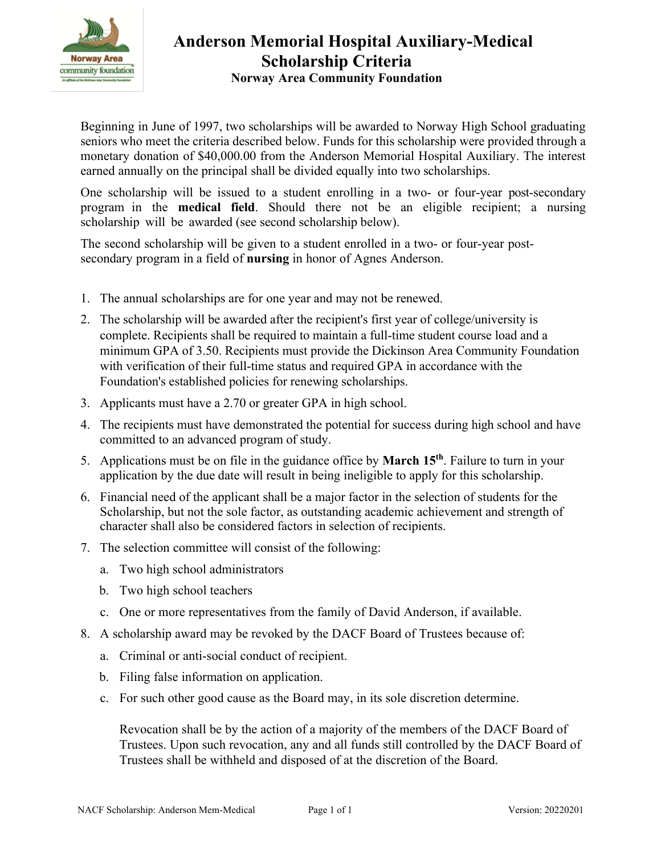

# **Anderson Memorial Hospital Auxiliary-Medical Scholarship Criteria Norway Area Community Foundation**

Beginning in June of 1997, two scholarships will be awarded to Norway High School graduating seniors who meet the criteria described below. Funds for this scholarship were provided through a monetary donation of \$40,000.00 from the Anderson Memorial Hospital Auxiliary. The interest earned annually on the principal shall be divided equally into two scholarships.

One scholarship will be issued to a student enrolling in a two- or four-year post-secondary program in the **medical field**. Should there not be an eligible recipient; a nursing scholarship will be awarded (see second scholarship below).

The second scholarship will be given to a student enrolled in a two- or four-year postsecondary program in a field of **nursing** in honor of Agnes Anderson.

- 1. The annual scholarships are for one year and may not be renewed.
- 2. The scholarship will be awarded after the recipient's first year of college/university is complete. Recipients shall be required to maintain a full-time student course load and a minimum GPA of 3.50. Recipients must provide the Dickinson Area Community Foundation with verification of their full-time status and required GPA in accordance with the Foundation's established policies for renewing scholarships.
- 3. Applicants must have a 2.70 or greater GPA in high school.
- 4. The recipients must have demonstrated the potential for success during high school and have committed to an advanced program of study.
- 5. Applications must be on file in the guidance office by **March 15 th**. Failure to turn in your application by the due date will result in being ineligible to apply for this scholarship.
- 6. Financial need of the applicant shall be a major factor in the selection of students for the Scholarship, but not the sole factor, as outstanding academic achievement and strength of character shall also be considered factors in selection of recipients.
- 7. The selection committee will consist of the following:
	- a. Two high school administrators
	- b. Two high school teachers
	- c. One or more representatives from the family of David Anderson, if available.
- 8. A scholarship award may be revoked by the DACF Board of Trustees because of:
	- a. Criminal or anti-social conduct of recipient.
	- b. Filing false information on application.
	- c. For such other good cause as the Board may, in its sole discretion determine.

Revocation shall be by the action of a majority of the members of the DACF Board of Trustees. Upon such revocation, any and all funds still controlled by the DACF Board of Trustees shall be withheld and disposed of at the discretion of the Board.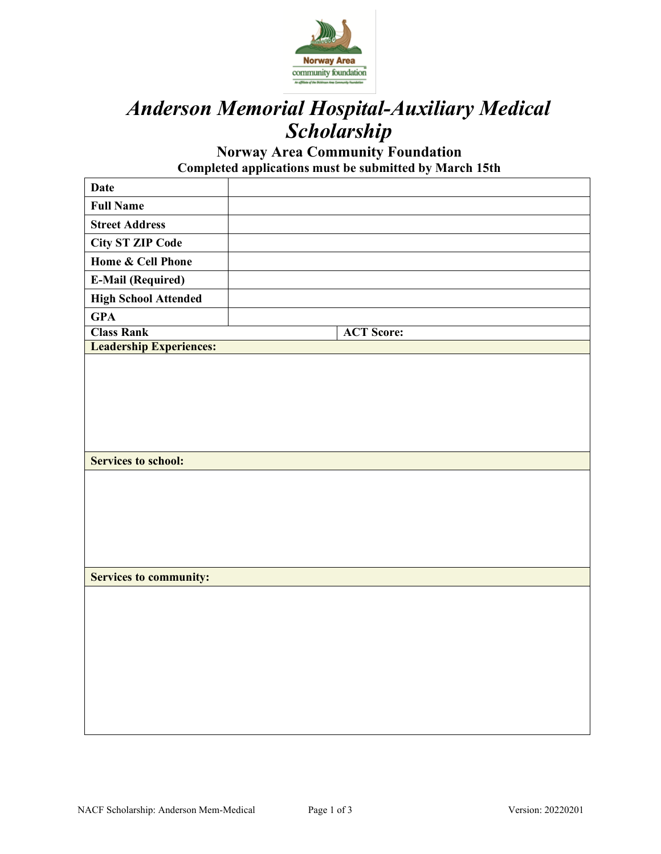

# *Anderson Memorial Hospital-Auxiliary Medical Scholarship*

**Norway Area Community Foundation Completed applications must be submitted by March 15th** 

| <b>Date</b>                    |                   |
|--------------------------------|-------------------|
| <b>Full Name</b>               |                   |
| <b>Street Address</b>          |                   |
| <b>City ST ZIP Code</b>        |                   |
| <b>Home &amp; Cell Phone</b>   |                   |
| <b>E-Mail (Required)</b>       |                   |
| <b>High School Attended</b>    |                   |
| <b>GPA</b>                     |                   |
| <b>Class Rank</b>              | <b>ACT Score:</b> |
| <b>Leadership Experiences:</b> |                   |
|                                |                   |
|                                |                   |
|                                |                   |
|                                |                   |
|                                |                   |
|                                |                   |
| <b>Services to school:</b>     |                   |
|                                |                   |
|                                |                   |
|                                |                   |
|                                |                   |
|                                |                   |
|                                |                   |
| <b>Services to community:</b>  |                   |
|                                |                   |
|                                |                   |
|                                |                   |
|                                |                   |
|                                |                   |
|                                |                   |
|                                |                   |
|                                |                   |
|                                |                   |
|                                |                   |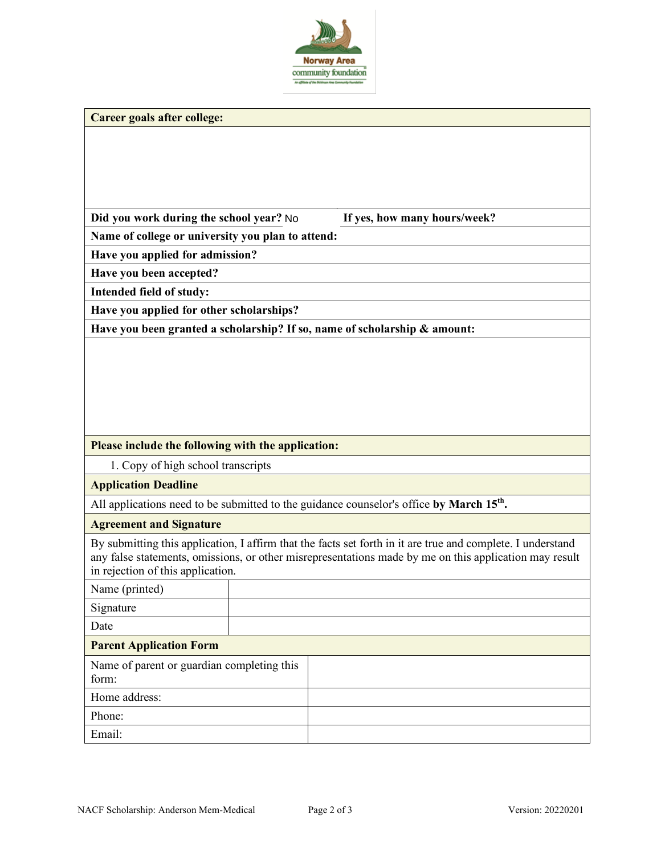

|  | Career goals after college: |  |
|--|-----------------------------|--|
|  |                             |  |

|  | Did you work during the school year? No |  |
|--|-----------------------------------------|--|
|  |                                         |  |

If yes, how many hours/week?

**Name of college or university you plan to attend:**

**Have you applied for admission?**

**Have you been accepted?**

**Intended field of study:**

**Have you applied for other scholarships?**

**Have you been granted a scholarship? If so, name of scholarship & amount:**

#### **Please include the following with the application:**

1. Copy of high school transcripts

#### **Application Deadline**

All applications need to be submitted to the guidance counselor's office by March 15<sup>th</sup>.

#### **Agreement and Signature**

By submitting this application, I affirm that the facts set forth in it are true and complete. I understand any false statements, omissions, or other misrepresentations made by me on this application may result in rejection of this application.

| Name (printed)                                      |  |  |
|-----------------------------------------------------|--|--|
| Signature                                           |  |  |
| Date                                                |  |  |
| <b>Parent Application Form</b>                      |  |  |
| Name of parent or guardian completing this<br>form: |  |  |
| Home address:                                       |  |  |
| Phone:                                              |  |  |
| Email:                                              |  |  |